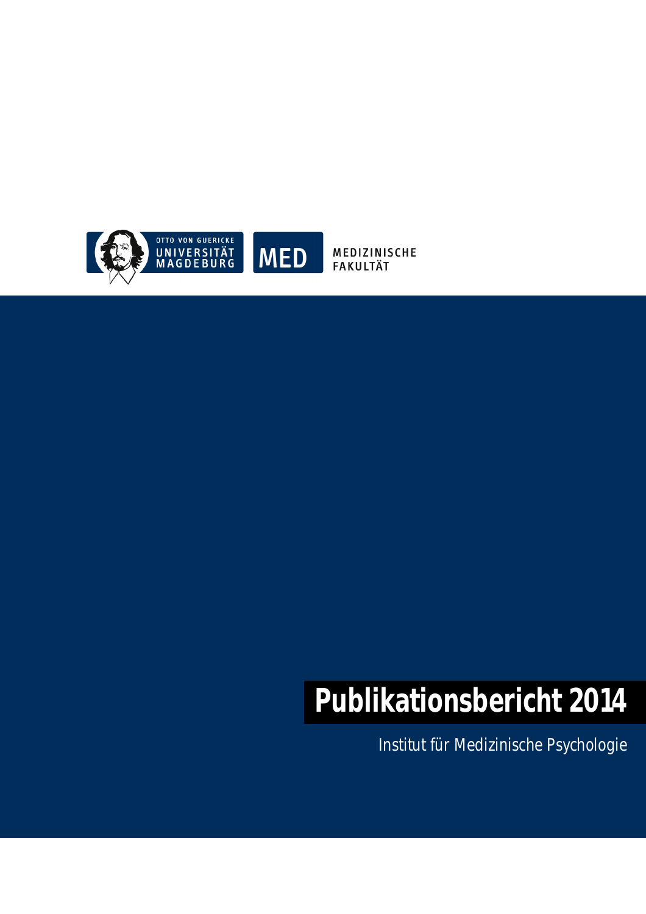

MEDIZINISCHE **FAKULTÄT** 

# **Publikationsbericht 2014**

Institut für Medizinische Psychologie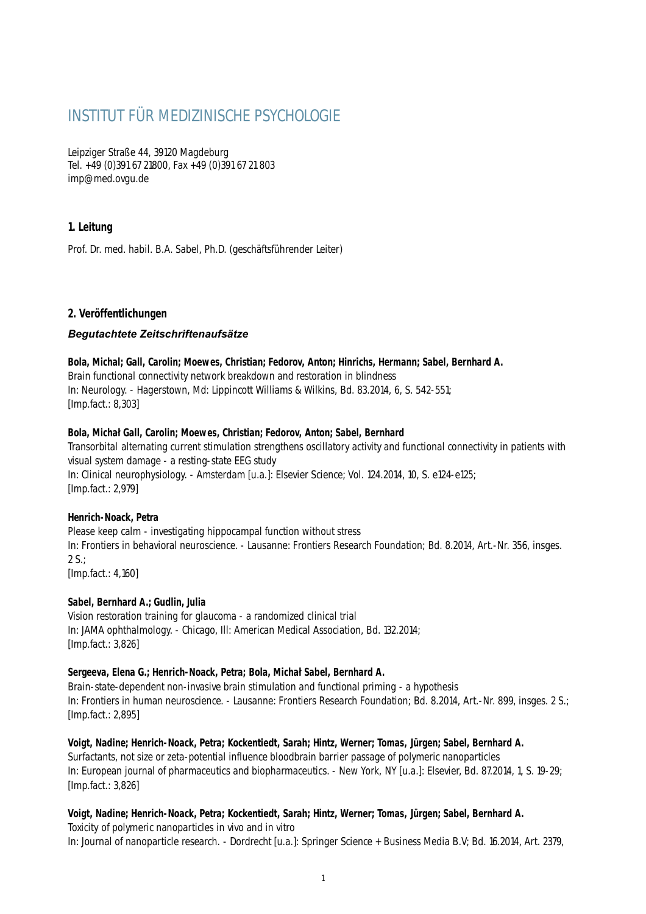# INSTITUT FÜR MEDIZINISCHE PSYCHOLOGIE

Leipziger Straße 44, 39120 Magdeburg Tel. +49 (0)391 67 21800, Fax +49 (0)391 67 21 803 imp@med.ovgu.de

# **1. Leitung**

Prof. Dr. med. habil. B.A. Sabel, Ph.D. (geschäftsführender Leiter)

# **2. Veröffentlichungen**

# *Begutachtete Zeitschriftenaufsätze*

#### **Bola, Michal; Gall, Carolin; Moewes, Christian; Fedorov, Anton; Hinrichs, Hermann; Sabel, Bernhard A.**

Brain functional connectivity network breakdown and restoration in blindness In: Neurology. - Hagerstown, Md: Lippincott Williams & Wilkins, Bd. 83.2014, 6, S. 542-551; [Imp.fact.: 8,303]

#### **Bola, Michał Gall, Carolin; Moewes, Christian; Fedorov, Anton; Sabel, Bernhard**

Transorbital alternating current stimulation strengthens oscillatory activity and functional connectivity in patients with visual system damage - a resting-state EEG study In: Clinical neurophysiology. - Amsterdam [u.a.]: Elsevier Science; Vol. 124.2014, 10, S. e124-e125; [Imp.fact.: 2,979]

# **Henrich-Noack, Petra**

Please keep calm - investigating hippocampal function without stress In: Frontiers in behavioral neuroscience. - Lausanne: Frontiers Research Foundation; Bd. 8.2014, Art.-Nr. 356, insges. 2 S.; [Imp.fact.: 4,160]

# **Sabel, Bernhard A.; Gudlin, Julia**

Vision restoration training for glaucoma - a randomized clinical trial In: JAMA ophthalmology. - Chicago, Ill: American Medical Association, Bd. 132.2014; [Imp.fact.: 3,826]

# **Sergeeva, Elena G.; Henrich-Noack, Petra; Bola, Michał Sabel, Bernhard A.**

Brain-state-dependent non-invasive brain stimulation and functional priming - a hypothesis In: Frontiers in human neuroscience. - Lausanne: Frontiers Research Foundation; Bd. 8.2014, Art.-Nr. 899, insges. 2 S.; [Imp.fact.: 2,895]

**Voigt, Nadine; Henrich-Noack, Petra; Kockentiedt, Sarah; Hintz, Werner; Tomas, Jürgen; Sabel, Bernhard A.** Surfactants, not size or zeta-potential influence bloodbrain barrier passage of polymeric nanoparticles In: European journal of pharmaceutics and biopharmaceutics. - New York, NY [u.a.]: Elsevier, Bd. 87.2014, 1, S. 19-29; [Imp.fact.: 3,826]

# **Voigt, Nadine; Henrich-Noack, Petra; Kockentiedt, Sarah; Hintz, Werner; Tomas, Jürgen; Sabel, Bernhard A.**

Toxicity of polymeric nanoparticles in vivo and in vitro In: Journal of nanoparticle research. - Dordrecht [u.a.]: Springer Science + Business Media B.V; Bd. 16.2014, Art. 2379,